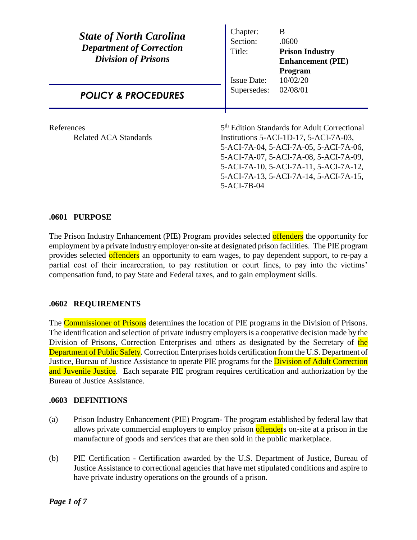| <b>State of North Carolina</b><br><b>Department of Correction</b><br><b>Division of Prisons</b> | Chapter:<br>Section:<br>Title:<br><b>Issue Date:</b>                                                                                                                                                                                                                                            | B<br>.0600<br><b>Prison Industry</b><br><b>Enhancement</b> (PIE)<br>Program<br>10/02/20 |
|-------------------------------------------------------------------------------------------------|-------------------------------------------------------------------------------------------------------------------------------------------------------------------------------------------------------------------------------------------------------------------------------------------------|-----------------------------------------------------------------------------------------|
| <b>POLICY &amp; PROCEDURES</b>                                                                  | Supersedes:                                                                                                                                                                                                                                                                                     | 02/08/01                                                                                |
| References<br>Related ACA Standards                                                             | 5 <sup>th</sup> Edition Standards for Adult Correctional<br>Institutions $5$ -ACI-1D-17, $5$ -ACI-7A-03,<br>5-ACI-7A-04, 5-ACI-7A-05, 5-ACI-7A-06,<br>5-ACI-7A-07, 5-ACI-7A-08, 5-ACI-7A-09,<br>5-ACI-7A-10, 5-ACI-7A-11, 5-ACI-7A-12,<br>5-ACI-7A-13, 5-ACI-7A-14, 5-ACI-7A-15,<br>5-ACI-7B-04 |                                                                                         |

## **.0601 PURPOSE**

The Prison Industry Enhancement (PIE) Program provides selected offenders the opportunity for employment by a private industry employer on-site at designated prison facilities. The PIE program provides selected offenders an opportunity to earn wages, to pay dependent support, to re-pay a partial cost of their incarceration, to pay restitution or court fines, to pay into the victims' compensation fund, to pay State and Federal taxes, and to gain employment skills.

# **.0602 REQUIREMENTS**

The **Commissioner of Prisons** determines the location of PIE programs in the Division of Prisons. The identification and selection of private industry employers is a cooperative decision made by the Division of Prisons, Correction Enterprises and others as designated by the Secretary of the Department of Public Safety. Correction Enterprises holds certification from the U.S. Department of Justice, Bureau of Justice Assistance to operate PIE programs for the **Division of Adult Correction** and Juvenile Justice. Each separate PIE program requires certification and authorization by the Bureau of Justice Assistance.

# **.0603 DEFINITIONS**

- (a) Prison Industry Enhancement (PIE) Program- The program established by federal law that allows private commercial employers to employ prison offenders on-site at a prison in the manufacture of goods and services that are then sold in the public marketplace.
- (b) PIE Certification Certification awarded by the U.S. Department of Justice, Bureau of Justice Assistance to correctional agencies that have met stipulated conditions and aspire to have private industry operations on the grounds of a prison.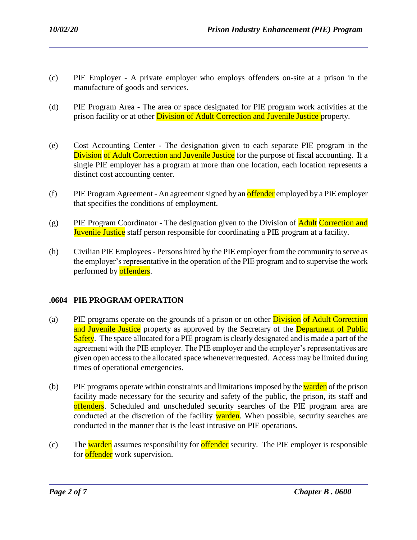- (c) PIE Employer A private employer who employs offenders on-site at a prison in the manufacture of goods and services.
- (d) PIE Program Area The area or space designated for PIE program work activities at the prison facility or at other **Division of Adult Correction and Juvenile Justice** property.
- (e) Cost Accounting Center The designation given to each separate PIE program in the Division of Adult Correction and Juvenile Justice for the purpose of fiscal accounting. If a single PIE employer has a program at more than one location, each location represents a distinct cost accounting center.
- (f) PIE Program Agreement An agreement signed by an offender employed by a PIE employer that specifies the conditions of employment.
- (g) PIE Program Coordinator The designation given to the Division of **Adult Correction and** Juvenile Justice staff person responsible for coordinating a PIE program at a facility.
- (h) Civilian PIE Employees Persons hired by the PIE employer from the community to serve as the employer's representative in the operation of the PIE program and to supervise the work performed by **offenders**.

# **.0604 PIE PROGRAM OPERATION**

- (a) PIE programs operate on the grounds of a prison or on other **Division** of Adult Correction and Juvenile Justice property as approved by the Secretary of the Department of Public Safety. The space allocated for a PIE program is clearly designated and is made a part of the agreement with the PIE employer. The PIE employer and the employer's representatives are given open access to the allocated space whenever requested. Access may be limited during times of operational emergencies.
- (b) PIE programs operate within constraints and limitations imposed by the warden of the prison facility made necessary for the security and safety of the public, the prison, its staff and offenders. Scheduled and unscheduled security searches of the PIE program area are conducted at the discretion of the facility warden. When possible, security searches are conducted in the manner that is the least intrusive on PIE operations.
- (c) The warden assumes responsibility for offender security. The PIE employer is responsible for **offender** work supervision.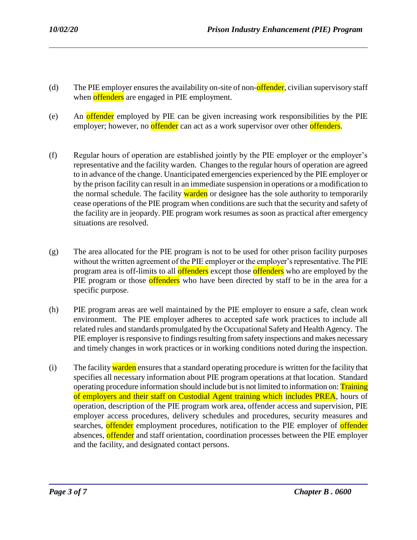- (d) The PIE employer ensures the availability on-site of non- $\alpha$  offender, civilian supervisory staff when **offenders** are engaged in PIE employment.
- (e) An offender employed by PIE can be given increasing work responsibilities by the PIE employer; however, no **offender** can act as a work supervisor over other **offenders**.
- (f) Regular hours of operation are established jointly by the PIE employer or the employer's representative and the facility warden. Changes to the regular hours of operation are agreed to in advance of the change. Unanticipated emergencies experienced by the PIE employer or by the prison facility can result in an immediate suspension in operations or a modification to the normal schedule. The facility warden or designee has the sole authority to temporarily cease operations of the PIE program when conditions are such that the security and safety of the facility are in jeopardy. PIE program work resumes as soon as practical after emergency situations are resolved.
- (g) The area allocated for the PIE program is not to be used for other prison facility purposes without the written agreement of the PIE employer or the employer's representative. The PIE program area is off-limits to all **offenders** except those **offenders** who are employed by the PIE program or those offenders who have been directed by staff to be in the area for a specific purpose.
- (h) PIE program areas are well maintained by the PIE employer to ensure a safe, clean work environment. The PIE employer adheres to accepted safe work practices to include all related rules and standards promulgated by the Occupational Safety and Health Agency. The PIE employer is responsive to findings resulting from safety inspections and makes necessary and timely changes in work practices or in working conditions noted during the inspection.
- (i) The facility warden ensures that a standard operating procedure is written for the facility that specifies all necessary information about PIE program operations at that location. Standard operating procedure information should include but is not limited to information on: Training of employers and their staff on Custodial Agent training which includes PREA, hours of operation, description of the PIE program work area, offender access and supervision, PIE employer access procedures, delivery schedules and procedures, security measures and searches, offender employment procedures, notification to the PIE employer of offender absences, offender and staff orientation, coordination processes between the PIE employer and the facility, and designated contact persons.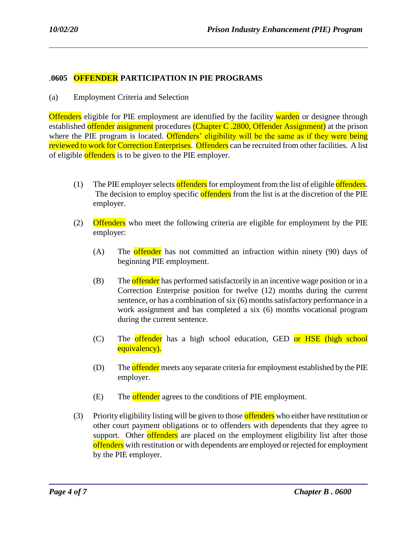## .**0605 OFFENDER PARTICIPATION IN PIE PROGRAMS**

(a) Employment Criteria and Selection

**Offenders** eligible for PIE employment are identified by the facility warden or designee through established offender assignment procedures (Chapter C .2800, Offender Assignment) at the prison where the PIE program is located. Offenders' eligibility will be the same as if they were being reviewed to work for Correction Enterprises. Offenders can be recruited from other facilities. A list of eligible offenders is to be given to the PIE employer.

- (1) The PIE employer selects offenders for employment from the list of eligible offenders. The decision to employ specific offenders from the list is at the discretion of the PIE employer.
- (2) Offenders who meet the following criteria are eligible for employment by the PIE employer:
	- (A) The **offender** has not committed an infraction within ninety  $(90)$  days of beginning PIE employment.
	- (B) The offender has performed satisfactorily in an incentive wage position or in a Correction Enterprise position for twelve (12) months during the current sentence, or has a combination of six (6) months satisfactory performance in a work assignment and has completed a six (6) months vocational program during the current sentence.
	- (C) The offender has a high school education, GED or HSE (high school equivalency).
	- (D) The **offender** meets any separate criteria for employment established by the PIE employer.
	- (E) The **offender** agrees to the conditions of PIE employment.

(3) Priority eligibility listing will be given to those offenders who either have restitution or other court payment obligations or to offenders with dependents that they agree to support. Other offenders are placed on the employment eligibility list after those offenders with restitution or with dependents are employed or rejected for employment by the PIE employer.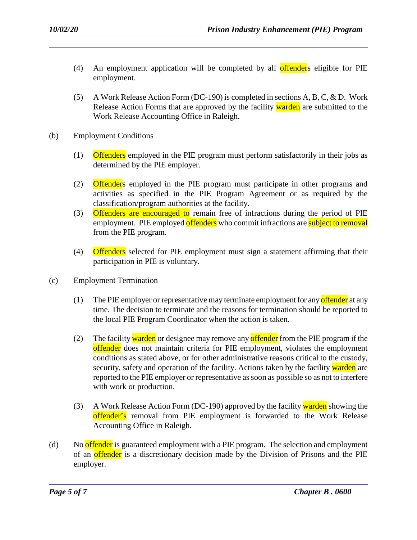- (4) An employment application will be completed by all **offender**s eligible for PIE employment.
- (5) A Work Release Action Form (DC-190) is completed in sections A, B, C, & D. Work Release Action Forms that are approved by the facility warden are submitted to the Work Release Accounting Office in Raleigh.
- (b) Employment Conditions
	- (1) Offenders employed in the PIE program must perform satisfactorily in their jobs as determined by the PIE employer.
	- (2) Offenders employed in the PIE program must participate in other programs and activities as specified in the PIE Program Agreement or as required by the classification/program authorities at the facility.
	- (3) Offenders are encouraged to remain free of infractions during the period of PIE employment. PIE employed offenders who commit infractions are subject to removal from the PIE program.
	- (4) Offenders selected for PIE employment must sign a statement affirming that their participation in PIE is voluntary.
- (c) Employment Termination
	- (1) The PIE employer or representative may terminate employment for any offender at any time. The decision to terminate and the reasons for termination should be reported to the local PIE Program Coordinator when the action is taken.
	- (2) The facility warden or designee may remove any offender from the PIE program if the offender does not maintain criteria for PIE employment, violates the employment conditions as stated above, or for other administrative reasons critical to the custody, security, safety and operation of the facility. Actions taken by the facility warden are reported to the PIE employer or representative as soon as possible so as not to interfere with work or production.
	- (3) A Work Release Action Form (DC-190) approved by the facility warden showing the offender's removal from PIE employment is forwarded to the Work Release Accounting Office in Raleigh.
- (d) No offender is guaranteed employment with a PIE program. The selection and employment of an **offender** is a discretionary decision made by the Division of Prisons and the PIE employer.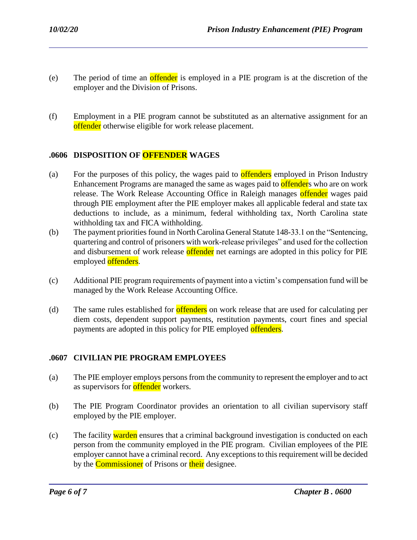- (e) The period of time an offender is employed in a PIE program is at the discretion of the employer and the Division of Prisons.
- (f) Employment in a PIE program cannot be substituted as an alternative assignment for an offender otherwise eligible for work release placement.

# **.0606 DISPOSITION OF OFFENDER WAGES**

- (a) For the purposes of this policy, the wages paid to **offenders** employed in Prison Industry Enhancement Programs are managed the same as wages paid to **offender**s who are on work release. The Work Release Accounting Office in Raleigh manages offender wages paid through PIE employment after the PIE employer makes all applicable federal and state tax deductions to include, as a minimum, federal withholding tax, North Carolina state withholding tax and FICA withholding.
- (b) The payment priorities found in North Carolina General Statute 148-33.1 on the "Sentencing, quartering and control of prisoners with work-release privileges" and used for the collection and disbursement of work release offender net earnings are adopted in this policy for PIE employed offenders.
- (c) Additional PIE program requirements of payment into a victim's compensation fund will be managed by the Work Release Accounting Office.
- (d) The same rules established for **offenders** on work release that are used for calculating per diem costs, dependent support payments, restitution payments, court fines and special payments are adopted in this policy for PIE employed offenders.

# **.0607 CIVILIAN PIE PROGRAM EMPLOYEES**

- (a) The PIE employer employs persons from the community to represent the employer and to act as supervisors for **offender** workers.
- (b) The PIE Program Coordinator provides an orientation to all civilian supervisory staff employed by the PIE employer.
- (c) The facility warden ensures that a criminal background investigation is conducted on each person from the community employed in the PIE program. Civilian employees of the PIE employer cannot have a criminal record. Any exceptions to this requirement will be decided by the **Commissioner** of Prisons or **their** designee.